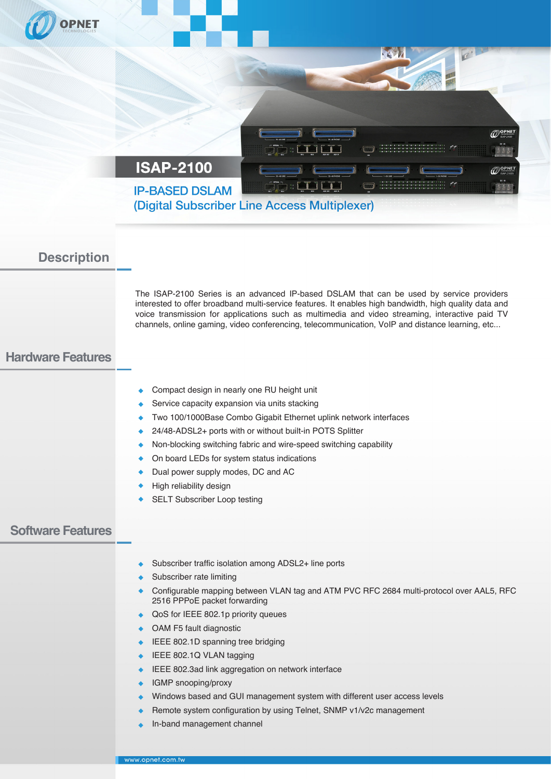